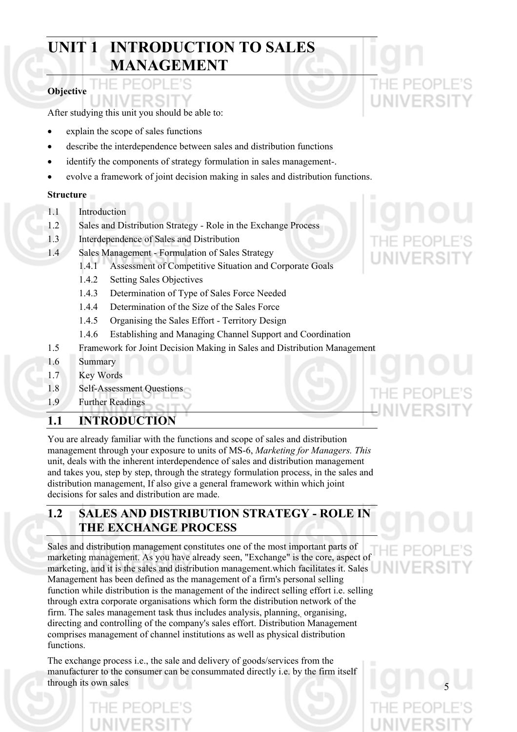# **UNIT 1 INTRODUCTION TO SALES MANAGEMENT**

## **Objective**

After studying this unit you should be able to:

- explain the scope of sales functions
- describe the interdependence between sales and distribution functions
- identify the components of strategy formulation in sales management-.
- evolve a framework of joint decision making in sales and distribution functions.

### **Structure**

- 1.1 Introduction
- 1.2 Sales and Distribution Strategy Role in the Exchange Process
- 1.3 Interdependence of Sales and Distribution
- 1.4 Sales Management Formulation of Sales Strategy
	- 1.4.1 Assessment of Competitive Situation and Corporate Goals
	- 1.4.2 Setting Sales Objectives
	- 1.4.3 Determination of Type of Sales Force Needed
	- 1.4.4 Determination of the Size of the Sales Force
	- 1.4.5 Organising the Sales Effort Territory Design
	- 1.4.6 Establishing and Managing Channel Support and Coordination
- 1.5 Framework for Joint Decision Making in Sales and Distribution Management
- 1.6 Summary
- 1.7 Key Words
- 1.8 Self-Assessment Questions
- 1.9 Further Readings

## **1.1 INTRODUCTION**

You are already familiar with the functions and scope of sales and distribution management through your exposure to units of MS-6, *Marketing for Managers. This*  unit, deals with the inherent interdependence of sales and distribution management and takes you, step by step, through the strategy formulation process, in the sales and distribution management, If also give a general framework within which joint decisions for sales and distribution are made.

# **1.2 SALES AND DISTRIBUTION STRATEGY - ROLE IN THE EXCHANGE PROCESS**

Sales and distribution management constitutes one of the most important parts of marketing management. As you have already seen, "Exchange" is the core, aspect of marketing, and it is the sales and distribution management. which facilitates it. Sales Management has been defined as the management of a firm's personal selling function while distribution is the management of the indirect selling effort i.e. selling through extra corporate organisations which form the distribution network of the firm. The sales management task thus includes analysis, planning, organising, directing and controlling of the company's sales effort. Distribution Management comprises management of channel institutions as well as physical distribution functions.

The exchange process i.e., the sale and delivery of goods/services from the manufacturer to the consumer can be consummated directly i.e. by the firm itself through its own sales 5

NIVERSI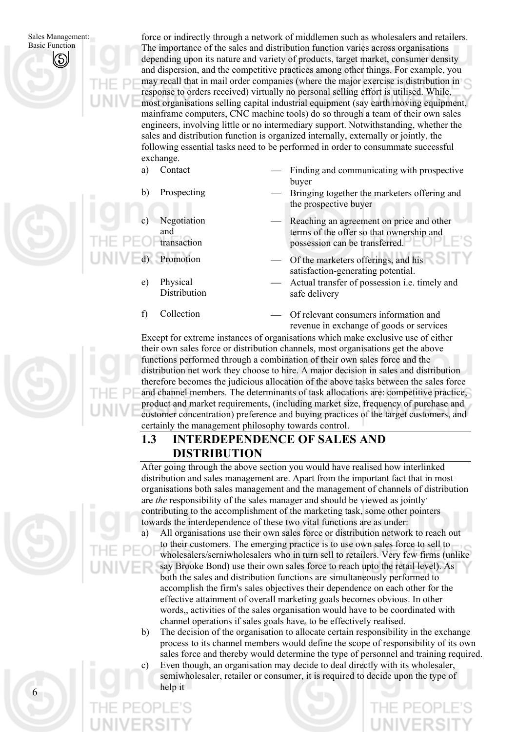force or indirectly through a network of middlemen such as wholesalers and retailers. The importance of the sales and distribution function varies across organisations depending upon its nature and variety of products, target market, consumer density and dispersion, and the competitive practices among other things. For example, you may recall that in mail order companies (where the major exercise is distribution in response to orders received) virtually no personal selling effort is utilised. While, most organisations selling capital industrial equipment (say earth moving equipment, mainframe computers, CNC machine tools) do so through a team of their own sales engineers, involving little or no intermediary support. Notwithstanding, whether the sales and distribution function is organized internally, externally or jointly, the following essential tasks need to be performed in order to consummate successful exchange.

- Contact Finding and communicating with prospective buyer
- b) Prospecting Bringing together the marketers offering and the prospective buyer
	- Reaching an agreement on price and other terms of the offer so that ownership and possession can be transferred.
	- Promotion Of the marketers offerings, and his satisfaction-generating potential.
		- Actual transfer of possession i.e. timely and safe delivery
- f)

Physical Distribution

Negotiation

transaction

and

a)

c)

d)

e)

Collection Of relevant consumers information and revenue in exchange of goods or services

Except for extreme instances of organisations which make exclusive use of either their own sales force or distribution channels, most organisations get the above functions performed through a combination of their own sales force and the distribution net work they choose to hire. A major decision in sales and distribution therefore becomes the judicious allocation of the above tasks between the sales force and channel members. The determinants of task allocations are: competitive practice, product and market requirements, (including market size, frequency of purchase and customer concentration) preference and buying practices of the target customers, and certainly the management philosophy towards control.

# **1.3 INTERDEPENDENCE OF SALES AND DISTRIBUTION**

After going through the above section you would have realised how interlinked distribution and sales management are. Apart from the important fact that in most organisations both sales management and the management of channels of distribution are *the* responsibility of the sales manager and should be viewed as jointly, contributing to the accomplishment of the marketing task, some other pointers towards the interdependence of these two vital functions are as under:

a) All organisations use their own sales force or distribution network to reach out to their customers. The emerging practice is to use own sales force to sell to wholesalers/serniwholesalers who in turn sell to retailers. Very few firms (unlike say Brooke Bond) use their own sales force to reach upto the retail level). As both the sales and distribution functions are simultaneously performed to accomplish the firm's sales objectives their dependence on each other for the effective attainment of overall marketing goals becomes obvious. In other words,, activities of the sales organisation would have to be coordinated with channel operations if sales goals haves to be effectively realised.

- b) The decision of the organisation to allocate certain responsibility in the exchange process to its channel members would define the scope of responsibility of its own sales force and thereby would determine the type of personnel and training required.
- c) Even though, an organisation may decide to deal directly with its wholesaler, semiwholesaler, retailer or consumer, it is required to decide upon the type of help it



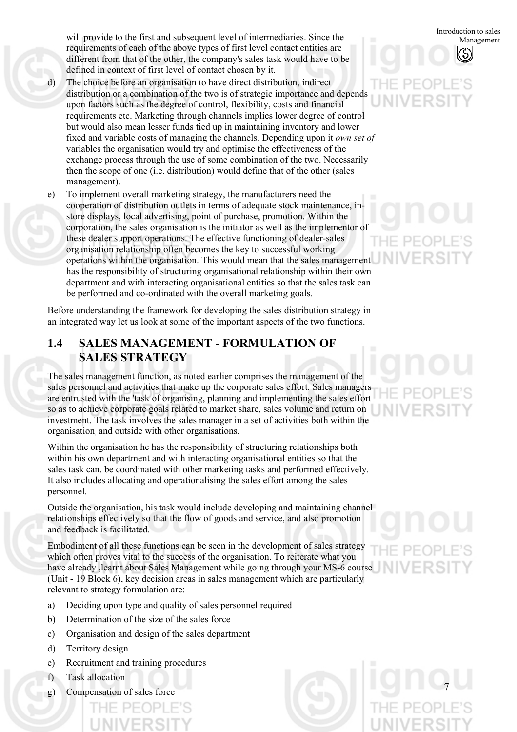will provide to the first and subsequent level of intermediaries. Since the requirements of each of the above types of first level contact entities are different from that of the other, the company's sales task would have to be defined in context of first level of contact chosen by it.

- d) The choice before an organisation to have direct distribution, indirect distribution or a combination of the two is of strategic importance and depends upon factors such as the degree of control, flexibility, costs and financial requirements etc. Marketing through channels implies lower degree of control but would also mean lesser funds tied up in maintaining inventory and lower fixed and variable costs of managing the channels. Depending upon it *own set of*  variables the organisation would try and optimise the effectiveness of the exchange process through the use of some combination of the two. Necessarily then the scope of one (i.e. distribution) would define that of the other (sales management).
- e) To implement overall marketing strategy, the manufacturers need the cooperation of distribution outlets in terms of adequate stock maintenance, instore displays, local advertising, point of purchase, promotion. Within the corporation, the sales organisation is the initiator as well as the implementor of these dealer support operations. The effective functioning of dealer-sales organisation relationship often becomes the key to successful working operations within the organisation. This would mean that the sales management has the responsibility of structuring organisational relationship within their own department and with interacting organisational entities so that the sales task can be performed and co-ordinated with the overall marketing goals.

Before understanding the framework for developing the sales distribution strategy in an integrated way let us look at some of the important aspects of the two functions.

## **1.4 SALES MANAGEMENT - FORMULATION OF SALES STRATEGY**

The sales management function, as noted earlier comprises the management of the sales personnel and activities that make up the corporate sales effort. Sales managers are entrusted with the 'task of organising, planning and implementing the sales effort so as to achieve corporate goals related to market share, sales volume and return on investment. The task involves the sales manager in a set of activities both within the organisation, and outside with other organisations.

Within the organisation he has the responsibility of structuring relationships both within his own department and with interacting organisational entities so that the sales task can. be coordinated with other marketing tasks and performed effectively. It also includes allocating and operationalising the sales effort among the sales personnel.

Outside the organisation, his task would include developing and maintaining channel relationships effectively so that the flow of goods and service, and also promotion and feedback is facilitated.

Embodiment of all these functions can be seen in the development of sales strategy which often proves vital to the success of the organisation. To reiterate what you have already ,learnt about Sales Management while going through your MS-6 course (Unit - 19 Block 6), key decision areas in sales management which are particularly relevant to strategy formulation are:

- a) Deciding upon type and quality of sales personnel required
- b) Determination of the size of the sales force
- c) Organisation and design of the sales department
- d) Territory design
- e) Recruitment and training procedures
- f) Task allocation
- g) Compensation of sales force



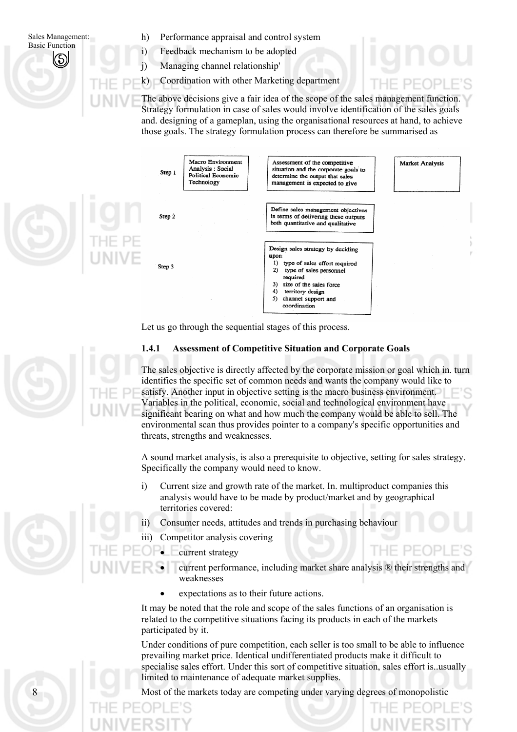- h) Performance appraisal and control system
	- Feedback mechanism to be adopted
	- Managing channel relationship'

i) j)

k) Coordination with other Marketing department

The above decisions give a fair idea of the scope of the sales management function. Strategy formulation in case of sales would involve identification of the sales goals and. designing of a gameplan, using the organisational resources at hand, to achieve those goals. The strategy formulation process can therefore be summarised as



Let us go through the sequential stages of this process.

### **1.4.1 Assessment of Competitive Situation and Corporate Goals**

The sales objective is directly affected by the corporate mission or goal which in. turn identifies the specific set of common needs and wants the company would like to satisfy. Another input in objective setting is the macro business environment. Variables in the political, economic, social and technological environment have significant bearing on what and how much the company would be able to sell. The environmental scan thus provides pointer to a company's specific opportunities and threats, strengths and weaknesses.

A sound market analysis, is also a prerequisite to objective, setting for sales strategy. Specifically the company would need to know.

- i) Current size and growth rate of the market. In. multiproduct companies this analysis would have to be made by product/market and by geographical territories covered:
- ii) Consumer needs, attitudes and trends in purchasing behaviour
- iii) Competitor analysis covering
	- current strategy
		- current performance, including market share analysis ® their strengths and weaknesses

THE PEOPI

• expectations as to their future actions.

It may be noted that the role and scope of the sales functions of an organisation is related to the competitive situations facing its products in each of the markets participated by it.

Under conditions of pure competition, each seller is too small to be able to influence prevailing market price. Identical undifferentiated products make it difficult to specialise sales effort. Under this sort of competitive situation, sales effort is..usually limited to maintenance of adequate market supplies.

Most of the markets today are competing under varying degrees of monopolistic

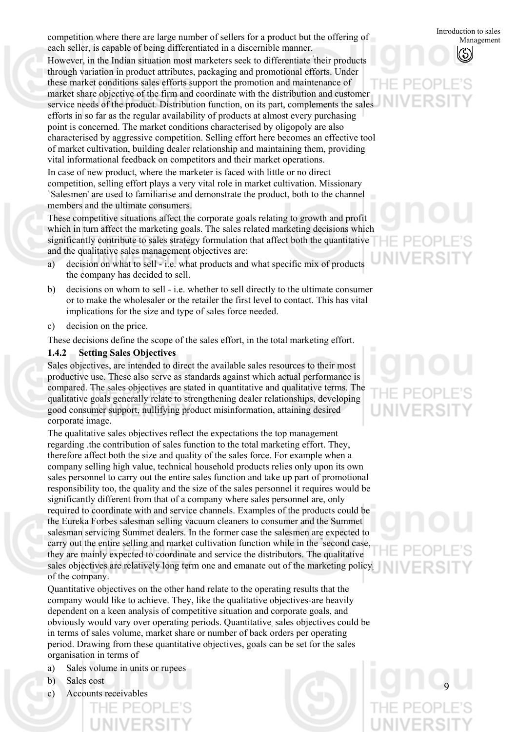competition where there are large number of sellers for a product but the offering of each seller, is capable of being differentiated in a discernible manner.

However, in the Indian situation most marketers seek to differentiate ' their products through variation in product attributes, packaging and promotional efforts. Under these market conditions sales efforts support the promotion and maintenance of market share objective of the firm and coordinate with the distribution and customer service needs of the product. Distribution function, on its part, complements the sales efforts in so far as the regular availability of products at almost every purchasing point is concerned. The market conditions characterised by oligopoly are also characterised by aggressive competition. Selling effort here becomes an effective tool of market cultivation, building dealer relationship and maintaining them, providing vital informational feedback on competitors and their market operations. In case of new product, where the marketer is faced with little or no direct competition, selling effort plays a very vital role in market cultivation. Missionary `Salesmen' are used to familiarise and demonstrate the product, both to the channel

members and the ultimate consumers.

These competitive situations affect the corporate goals relating to growth and profit which in turn affect the marketing goals. The sales related marketing decisions which significantly contribute to sales strategy formulation that affect both the quantitative and the qualitative sales management objectives are:

- a) decision on what to sell - i.e. what products and what specific mix of products the company has decided to sell.
- b) decisions on whom to sell - i.e. whether to sell directly to the ultimate consumer or to make the wholesaler or the retailer the first level to contact. This has vital implications for the size and type of sales force needed.
- c) decision on the price.

These decisions define the scope of the sales effort, in the total marketing effort.

### **1.4.2 Setting Sales Objectives**

Sales objectives, are intended to direct the available sales resources to their most productive use. These also serve as standards against which actual performance is compared. The sales objectives are stated in quantitative and qualitative terms. The qualitative goals generally relate to strengthening dealer relationships, developing good consumer support, nullifying product misinformation, attaining desired corporate image.

The qualitative sales objectives reflect the expectations the top management regarding .the contribution of sales function to the total marketing effort. They, therefore affect both the size and quality of the sales force. For example when a company selling high value, technical household products relies only upon its own sales personnel to carry out the entire sales function and take up part of promotional responsibility too, the quality and the size of the sales personnel it requires would be significantly different from that of a company where sales personnel are, only required to coordinate with and service channels. Examples of the products could be the Eureka Forbes salesman selling vacuum cleaners to consumer and the Summet salesman servicing Summet dealers. In the former case the salesmen are expected to carry out the entire selling and market cultivation function while in the " second case, they are mainly expected to coordinate and service the distributors. The qualitative sales objectives are relatively long term one and emanate out of the marketing policy. of the company.

Quantitative objectives on the other hand relate to the operating results that the company would like to achieve. They, like the qualitative objectives-are heavily dependent on a keen analysis of competitive situation and corporate goals, and obviously would vary over operating periods. Quantitative, sales objectives could be in terms of sales volume, market share or number of back orders per operating period. Drawing from these quantitative objectives, goals can be set for the sales organisation in terms of

- a) Sales volume in units or rupees
- b) Sales cost
- c) Accounts receivables

Introduction to sales Management



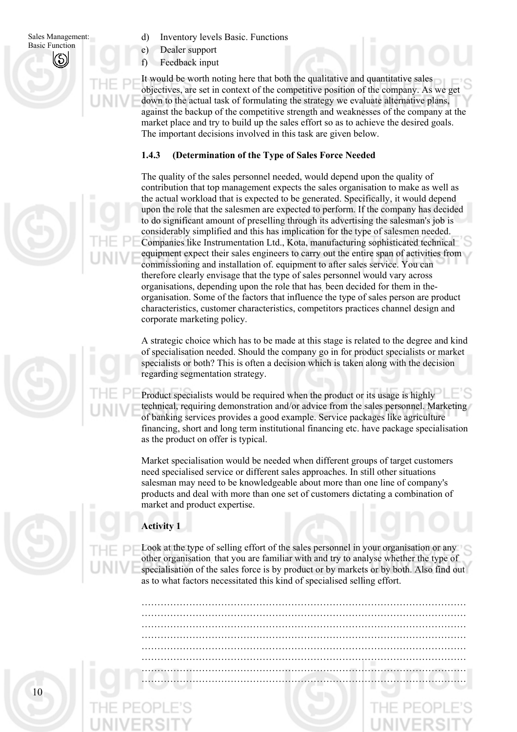d) Inventory levels Basic. Functions

e) Dealer support

f) Feedback input

It would be worth noting here that both the qualitative and quantitative sales objectives, are set in context of the competitive position of the company. As we get down to the actual task of formulating the strategy we evaluate alternative plans, against the backup of the competitive strength and weaknesses of the company at the market place and try to build up the sales effort so as to achieve the desired goals. The important decisions involved in this task are given below.

### **1.4.3 (Determination of the Type of Sales Force Needed**

The quality of the sales personnel needed, would depend upon the quality of contribution that top management expects the sales organisation to make as well as the actual workload that is expected to be generated. Specifically, it would depend upon the role that the salesmen are expected to perform. If the company has decided to do significant amount of preselling through its advertising the salesman's job is considerably simplified and this has implication for the type of salesmen needed. Companies like Instrumentation Ltd., Kota, manufacturing sophisticated technical equipment expect their sales engineers to carry out the entire span of activities from commissioning and installation of. equipment to after sales service. You can therefore clearly envisage that the type of sales personnel would vary across organisations, depending upon the role that has, been decided for them in theorganisation. Some of the factors that influence the type of sales person are product characteristics, customer characteristics, competitors practices channel design and corporate marketing policy.

A strategic choice which has to be made at this stage is related to the degree and kind of specialisation needed. Should the company go in for product specialists or market specialists or both? This is often a decision which is taken along with the decision regarding segmentation strategy.

Product specialists would be required when the product or its usage is highly technical, requiring demonstration and/or advice from the sales personnel. Marketing of banking services provides a good example. Service packages like agriculture financing, short and long term institutional financing etc. have package specialisation as the product on offer is typical.

Market specialisation would be needed when different groups of target customers need specialised service or different sales approaches. In still other situations salesman may need to be knowledgeable about more than one line of company's products and deal with more than one set of customers dictating a combination of market and product expertise.

## **Activity 1**

Look at the type of selling effort of the sales personnel in your organisation or any other organisation. that you are familiar with and try to analyse whether the type of specialisation of the sales force is by product or by markets or by both. Also find out as to what factors necessitated this kind of specialised selling effort.

………………………………………………………………………………………… ………………………………………………………………………………………… ………………………………………………………………………………………… ………………………………………………………………………………………… ………………………………………………………………………………………… ………………………………………………………………………………………… …………………………………………………………………………………………

…………………………………………………………………………………………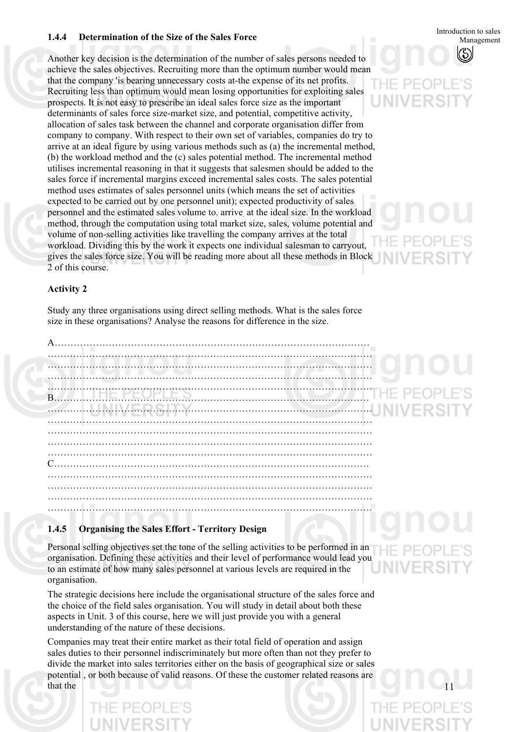## **1.4.4 Determination of the Size of the Sales Force 1.4.4 Initially Management**

Another key decision is the determination of the number of sales persons needed to achieve the sales objectives. Recruiting more than the optimum number would mean that the company 'is bearing unnecessary costs at-the expense of its net profits. Recruiting less than optimum would mean losing opportunities for exploiting sales prospects. It is not easy to prescribe an ideal sales force size as the important determinants of sales force size-market size, and potential, competitive activity, allocation of sales task between the channel and corporate organisation differ from company to company. With respect to their own set of variables, companies do try to arrive at an ideal figure by using various methods such as (a) the incremental method, (b) the workload method and the (c) sales potential method. The incremental method utilises incremental reasoning in that it suggests that salesmen should be added to the sales force if incremental margins exceed incremental sales costs. The sales potential method uses estimates of sales personnel units (which means the set of activities expected to be carried out by one personnel unit); expected productivity of sales personnel and the estimated sales volume to. arrive. at the ideal size. In the workload method, through the computation using total market size, sales, volume potential and volume of non-selling activities like travelling the company arrives at the total workload. Dividing this by the work it expects one individual salesman to carryout, gives the sales force size. You will be reading more about all these methods in Block 2 of this course.

# Introduction to sales

## **Activity 2**

Study any three organisations using direct selling methods. What is the sales force size in these organisations? Analyse the reasons for difference in the size.

A……………………………………………………………………………………… ………………………………………………………………………………………… ………………………………………………………………………………………… ………………………………………………………………………………………… B……………………………………………………………………………………… ………………………………………………………………………………………… ………………………………………………………………………………………… ………………………………………………………………………………………… ………………………………………………………………………………………… ………………………………………………………………………………………… C……………………………………………………………………………………… ………………………………………………………………………………………… ………………………………………………………………………………………… ………………………………………………………………………………………… …………………………………………………………………………………………

## **1.4.5 Organising the Sales Effort - Territory Design**

Personal selling objectives set the tone of the selling activities to be performed in an organisation. Defining these activities and their level of performance would lead you to an estimate of how many sales personnel at various levels are required in the organisation.

The strategic decisions here include the organisational structure of the sales force and the choice of the field sales organisation. You will study in detail about both these aspects in Unit. 3 of this course, here we will just provide you with a general understanding of the nature of these decisions.

Companies may treat their entire market as their total field of operation and assign sales duties to their personnel indiscriminately but more often than not they prefer to divide the market into sales territories either on the basis of geographical size or sales potential , or both because of valid reasons. Of these the customer related reasons are that the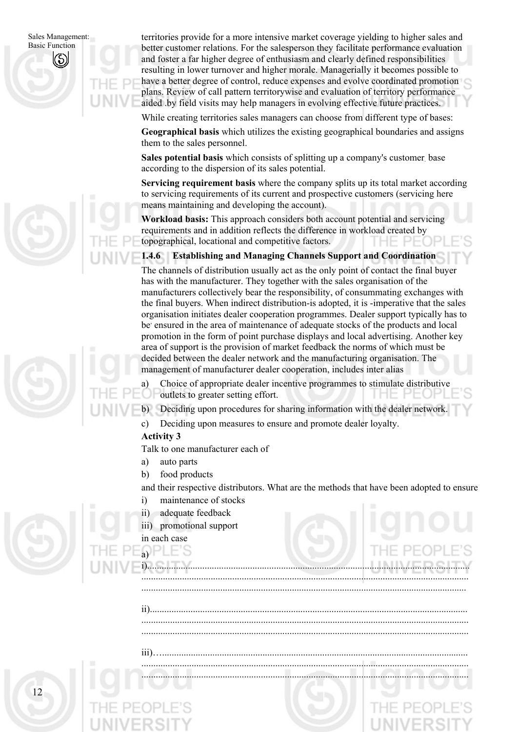territories provide for a more intensive market coverage yielding to higher sales and better customer relations. For the salesperson they facilitate performance evaluation and foster a far higher degree of enthusiasm and clearly defined responsibilities resulting in lower turnover and higher morale. Managerially it becomes possible to have a better degree of control, reduce expenses and evolve coordinated promotion plans. Review of call pattern territorywise and evaluation of territory performance aided .by field visits may help managers in evolving effective future practices.

While creating territories sales managers can choose from different type of bases:

**Geographical basis** which utilizes the existing geographical boundaries and assigns them to the sales personnel.

**Sales potential basis** which consists of splitting up a company's customer base according to the dispersion of its sales potential.

**Servicing requirement basis** where the company splits up its total market according to servicing requirements of its current and prospective customers (servicing here means maintaining and developing the account).

**Workload basis:** This approach considers both account potential and servicing requirements and in addition reflects the difference in workload created by topographical, locational and competitive factors.

### **1.4.6 Establishing and Managing Channels Support and Coordination**

The channels of distribution usually act as the only point of contact the final buyer has with the manufacturer. They together with the sales organisation of the manufacturers collectively bear the responsibility, of consummating exchanges with the final buyers. When indirect distribution-is adopted, it is -imperative that the sales organisation initiates dealer cooperation programmes. Dealer support typically has to be ensured in the area of maintenance of adequate stocks of the products and local promotion in the form of point purchase displays and local advertising. Another key area of support is the provision of market feedback the norms of which must be decided between the dealer network and the manufacturing organisation. The management of manufacturer dealer cooperation, includes inter alias

a) Choice of appropriate dealer incentive programmes to stimulate distributive outlets to greater setting effort.

b) Deciding upon procedures for sharing information with the dealer network.

c) Deciding upon measures to ensure and promote dealer loyalty.

### **Activity 3**

Talk to one manufacturer each of

- a) auto parts
- b) food products

and their respective distributors. What are the methods that have been adopted to ensure

i)....................................................................................................................................... ......................................................................................................................................... ........................................................................................................................................

ii)..................................................................................................................................... ......................................................................................................................................... .........................................................................................................................................

iii)…................................................................................................................................ ......................................................................................................................................... .........................................................................................................................................

- i) maintenance of stocks
- ii) adequate feedback
- iii) promotional support

## in each case

 $a)$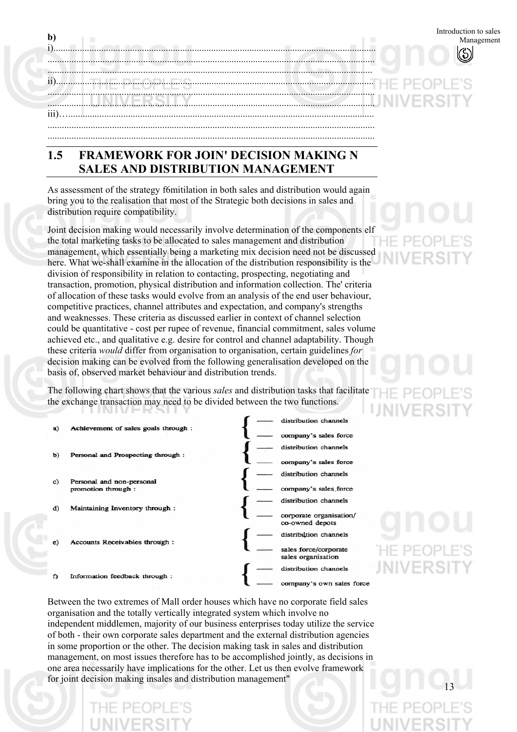| $\mathbf{b}$ |                                                                      | Introduction to sales |
|--------------|----------------------------------------------------------------------|-----------------------|
| ii           | المستنبط المتحال المتحالي المستنسس المتحالة المرامي والمستنب المناسب | --THE PEOP            |
|              |                                                                      |                       |
|              |                                                                      |                       |

# **1.5 FRAMEWORK FOR JOIN' DECISION MAKING N SALES AND DISTRIBUTION MANAGEMENT**

As assessment of the strategy f6mitilation in both sales and distribution would again bring you to the realisation that most of the Strategic both decisions in sales and distribution require compatibility.

Joint decision making would necessarily involve determination of the components elf the total marketing tasks to be allocated to sales management and distribution management, which essentially being a marketing mix decision need not be discussed here. What we-shall examine in the allocation of the distribution responsibility is the division of responsibility in relation to contacting, prospecting, negotiating and transaction, promotion, physical distribution and information collection. The' criteria of allocation of these tasks would evolve from an analysis of the end user behaviour, competitive practices, channel attributes and expectation, and company's strengths and weaknesses. These criteria as discussed earlier in context of channel selection could be quantitative - cost per rupee of revenue, financial commitment, sales volume achieved etc., and qualitative e.g. desire for control and channel adaptability. Though these criteria *would* differ from organisation to organisation, certain guidelines *for* decision making can be evolved from the following generalisation developed on the basis of, observed market behaviour and distribution trends.

The following chart shows that the various *sales* and distribution tasks that facilitate the exchange transaction may need to be divided between the two functions.



Between the two extremes of Mall order houses which have no corporate field sales organisation and the totally vertically integrated system which involve no independent middlemen, majority of our business enterprises today utilize the service of both - their own corporate sales department and the external distribution agencies in some proportion or the other. The decision making task in sales and distribution management, on most issues therefore has to be accomplished jointly, as decisions in one area necessarily have implications for the other. Let us then evolve framework for joint decision making insales and distribution management"

 $-$  PF(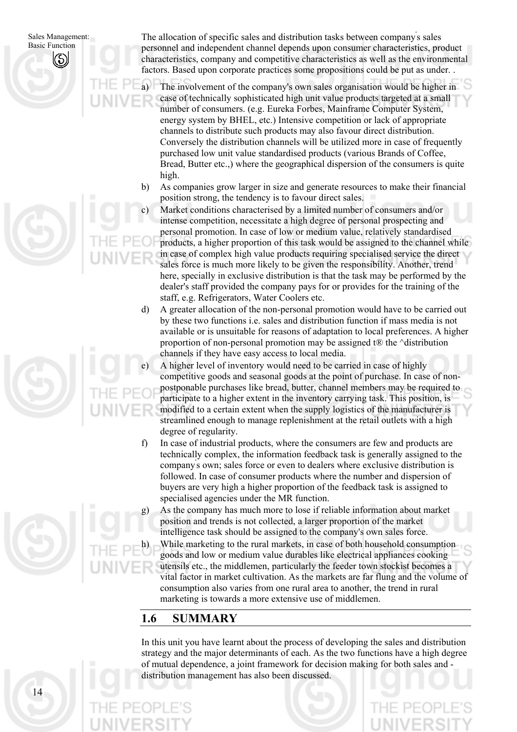a)

14

The allocation of specific sales and distribution tasks between company' s sales personnel and independent channel depends upon consumer characteristics, product characteristics, company and competitive characteristics as well as the environmental factors. Based upon corporate practices some propositions could be put as under. .

The involvement of the company's own sales organisation would be higher in case of technically sophisticated high unit value products targeted at a small number of consumers. (e.g. Eureka Forbes, Mainframe Computer System, energy system by BHEL, etc.) Intensive competition or lack of appropriate channels to distribute such products may also favour direct distribution. Conversely the distribution channels will be utilized more in case of frequently purchased low unit value standardised products (various Brands of Coffee, Bread, Butter etc.,) where the geographical dispersion of the consumers is quite high.

- b) As companies grow larger in size and generate resources to make their financial position strong, the tendency is to favour direct sales.
- c) Market conditions characterised by a limited number of consumers and/or intense competition, necessitate a high degree of personal prospecting and personal promotion. In case of low or medium value, relatively standardised products, a higher proportion of this task would be assigned to the channel while in case of complex high value products requiring specialised service the direct sales force is much more likely to be given the responsibility. Another, trend here, specially in exclusive distribution is that the task may be performed by the dealer's staff provided the company pays for or provides for the training of the staff, e.g. Refrigerators, Water Coolers etc.
- d) A greater allocation of the non-personal promotion would have to be carried out by these two functions i.e. sales and distribution function if mass media is not available or is unsuitable for reasons of adaptation to local preferences. A higher proportion of non-personal promotion may be assigned t $\mathbb{R}$  the  $\land$  distribution channels if they have easy access to local media.
- e) A higher level of inventory would need to be carried in case of highly competitive goods and seasonal goods at the point of purchase. In case of nonpostponable purchases like bread, butter, channel members may be required to participate to a higher extent in the inventory carrying task. This position, is modified to a certain extent when the supply logistics of the manufacturer is streamlined enough to manage replenishment at the retail outlets with a high degree of regularity.
- f) In case of industrial products, where the consumers are few and products are technically complex, the information feedback task is generally assigned to the company' s own; sales force or even to dealers where exclusive distribution is followed. In case of consumer products where the number and dispersion of buyers are very high a higher proportion of the feedback task is assigned to specialised agencies under the MR function.
	- As the company has much more to lose if reliable information about market position and trends is not collected, a larger proportion of the market intelligence task should be assigned to the company's own sales force.
	- While marketing to the rural markets, in case of both household consumption goods and low or medium value durables like electrical appliances cooking utensils etc., the middlemen, particularly the feeder town stockist becomes a vital factor in market cultivation. As the markets are far flung and the volume of consumption also varies from one rural area to another, the trend in rural marketing is towards a more extensive use of middlemen.

# **1.6 SUMMARY**

g)

h)

In this unit you have learnt about the process of developing the sales and distribution strategy and the major determinants of each. As the two functions have a high degree of mutual dependence, a joint framework for decision making for both sales and distribution management has also been discussed.